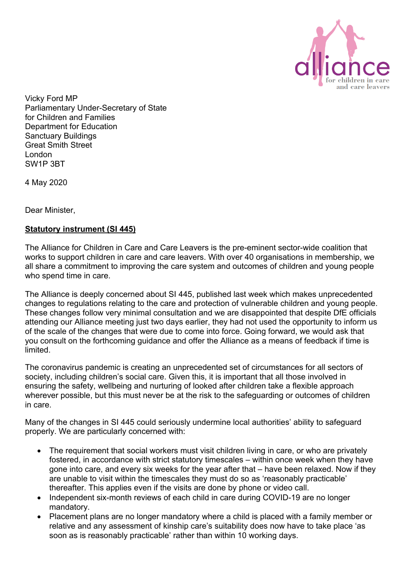

Vicky Ford MP Parliamentary Under-Secretary of State for Children and Families Department for Education Sanctuary Buildings Great Smith Street London SW1P 3BT

4 May 2020

Dear Minister,

## **Statutory instrument (SI 445)**

The Alliance for Children in Care and Care Leavers is the pre-eminent sector-wide coalition that works to support children in care and care leavers. With over 40 organisations in membership, we all share a commitment to improving the care system and outcomes of children and young people who spend time in care.

The Alliance is deeply concerned about SI 445, published last week which makes unprecedented changes to regulations relating to the care and protection of vulnerable children and young people. These changes follow very minimal consultation and we are disappointed that despite DfE officials attending our Alliance meeting just two days earlier, they had not used the opportunity to inform us of the scale of the changes that were due to come into force. Going forward, we would ask that you consult on the forthcoming guidance and offer the Alliance as a means of feedback if time is limited.

The coronavirus pandemic is creating an unprecedented set of circumstances for all sectors of society, including children's social care. Given this, it is important that all those involved in ensuring the safety, wellbeing and nurturing of looked after children take a flexible approach wherever possible, but this must never be at the risk to the safeguarding or outcomes of children in care.

Many of the changes in SI 445 could seriously undermine local authorities' ability to safeguard properly. We are particularly concerned with:

- The requirement that social workers must visit children living in care, or who are privately fostered, in accordance with strict statutory timescales – within once week when they have gone into care, and every six weeks for the year after that – have been relaxed. Now if they are unable to visit within the timescales they must do so as 'reasonably practicable' thereafter. This applies even if the visits are done by phone or video call.
- Independent six-month reviews of each child in care during COVID-19 are no longer mandatory.
- Placement plans are no longer mandatory where a child is placed with a family member or relative and any assessment of kinship care's suitability does now have to take place 'as soon as is reasonably practicable' rather than within 10 working days.